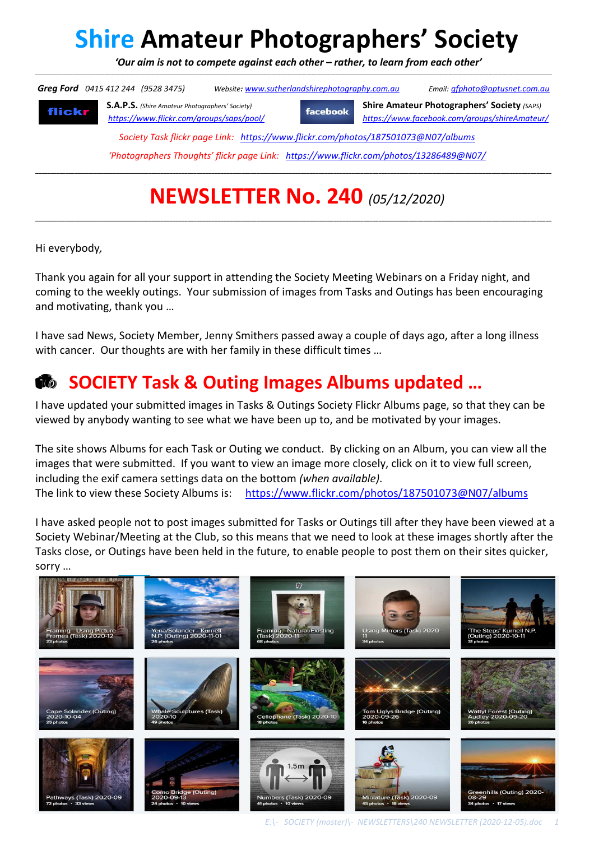# **Shire Amateur Photographers' Society**

 *'Our aim is not to compete against each other – rather, to learn from each other'*  \_\_\_\_\_\_\_\_\_\_\_\_\_\_\_\_\_\_\_\_\_\_\_\_\_\_\_\_\_\_\_\_\_\_\_\_\_\_\_\_\_\_\_\_\_\_\_\_\_\_\_\_\_\_\_\_\_\_\_\_\_\_\_\_\_\_\_\_\_\_\_\_\_\_\_\_\_\_\_\_\_\_\_\_\_\_\_\_\_\_\_\_\_\_\_\_\_\_\_\_\_\_\_\_\_\_\_\_\_\_\_\_\_\_\_\_\_\_\_\_\_\_\_\_\_\_\_\_\_\_\_\_\_\_\_\_\_\_\_\_\_\_\_\_\_\_\_\_\_\_\_\_\_\_\_\_\_\_\_\_\_\_\_\_\_\_\_\_\_\_\_\_\_\_\_\_\_\_\_\_\_\_\_\_\_\_\_\_\_\_\_\_\_\_\_\_\_\_\_\_\_\_\_\_\_\_\_\_\_\_\_\_\_\_\_\_\_\_\_\_\_\_\_\_\_\_\_\_\_\_\_\_\_\_\_\_\_\_\_\_\_\_\_\_\_\_\_\_\_\_\_\_\_\_\_\_\_\_\_\_

 *Greg Ford 0415 412 244 (9528 3475) Website: www.sutherlandshirephotography.com.au Email: gfphoto@optusnet.com.au*  **S.A.P.S.** *(Shire Amateur Photographers' Society)* **Shire Amateur Photographers' Society** *(SAPS)* **facebook** flickr *https://www.flickr.com/groups/saps/pool/ https://www.facebook.com/groups/shireAmateur/ Society Task flickr page Link: https://www.flickr.com/photos/187501073@N07/albums 'Photographers Thoughts' flickr page Link: https://www.flickr.com/photos/13286489@N07/* **\_\_\_\_\_\_\_\_\_\_\_\_\_\_\_\_\_\_\_\_\_\_\_\_\_\_\_\_\_\_\_\_\_\_\_\_\_\_\_\_\_\_\_\_\_\_\_\_\_\_\_\_\_\_\_\_\_\_\_\_\_\_\_\_\_\_\_\_\_\_\_\_\_\_\_\_\_\_\_\_\_\_\_\_\_\_\_\_\_\_\_\_\_\_\_\_\_\_\_\_\_\_\_\_\_\_\_\_\_\_\_\_\_\_\_\_\_\_\_\_\_\_\_\_\_\_\_\_\_\_\_\_\_\_\_\_\_\_\_\_\_\_\_\_\_\_\_\_\_\_\_\_\_\_\_\_\_\_\_\_\_\_\_\_\_\_\_\_\_\_\_\_\_** 

## **NEWSLETTER No. 240** *(05/12/2020)*

**\_\_\_\_\_\_\_\_\_\_\_\_\_\_\_\_\_\_\_\_\_\_\_\_\_\_\_\_\_\_\_\_\_\_\_\_\_\_\_\_\_\_\_\_\_\_\_\_\_\_\_\_\_\_\_\_\_\_\_\_\_\_\_\_\_\_\_\_\_\_\_\_\_\_\_\_\_\_\_\_\_\_\_\_\_\_\_\_\_\_\_\_\_\_\_\_\_\_\_\_\_\_\_\_\_\_\_\_\_\_\_\_\_\_\_\_\_\_\_\_\_\_\_\_\_\_\_\_\_\_\_\_\_\_\_\_\_\_\_\_\_\_\_\_\_\_\_\_\_\_\_\_\_\_\_\_\_\_\_\_\_\_\_\_\_\_\_\_\_\_\_\_\_** 

Hi everybody*,* 

Thank you again for all your support in attending the Society Meeting Webinars on a Friday night, and coming to the weekly outings. Your submission of images from Tasks and Outings has been encouraging and motivating, thank you …

I have sad News, Society Member, Jenny Smithers passed away a couple of days ago, after a long illness with cancer. Our thoughts are with her family in these difficult times …

#### **<b>EX** SOCIETY Task & Outing Images Albums updated ...

I have updated your submitted images in Tasks & Outings Society Flickr Albums page, so that they can be viewed by anybody wanting to see what we have been up to, and be motivated by your images.

The site shows Albums for each Task or Outing we conduct. By clicking on an Album, you can view all the images that were submitted. If you want to view an image more closely, click on it to view full screen, including the exif camera settings data on the bottom *(when available)*. The link to view these Society Albums is: https://www.flickr.com/photos/187501073@N07/albums

I have asked people not to post images submitted for Tasks or Outings till after they have been viewed at a Society Webinar/Meeting at the Club, so this means that we need to look at these images shortly after the Tasks close, or Outings have been held in the future, to enable people to post them on their sites quicker, sorry …

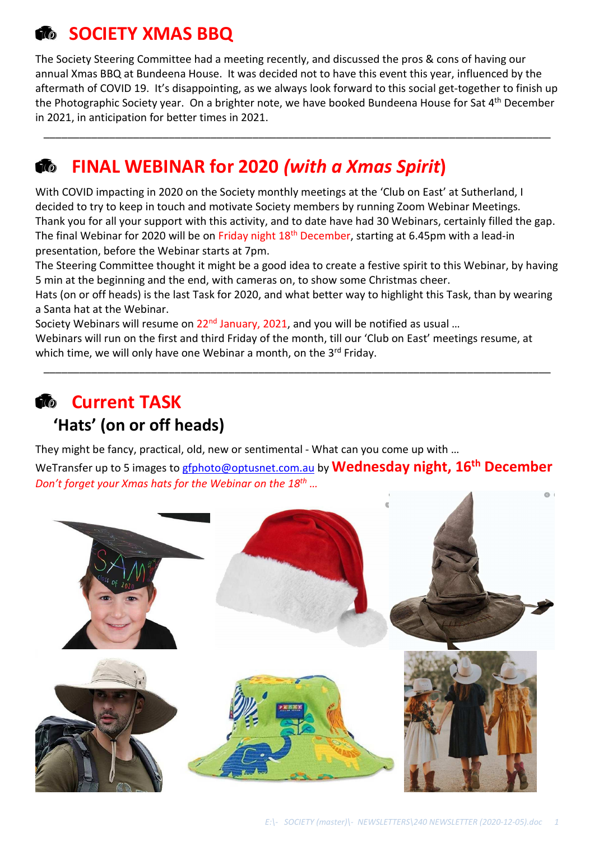### *<b>C* **SOCIETY XMAS BBQ**

The Society Steering Committee had a meeting recently, and discussed the pros & cons of having our annual Xmas BBQ at Bundeena House. It was decided not to have this event this year, influenced by the aftermath of COVID 19. It's disappointing, as we always look forward to this social get-together to finish up the Photographic Society year. On a brighter note, we have booked Bundeena House for Sat 4<sup>th</sup> December in 2021, in anticipation for better times in 2021.

\_\_\_\_\_\_\_\_\_\_\_\_\_\_\_\_\_\_\_\_\_\_\_\_\_\_\_\_\_\_\_\_\_\_\_\_\_\_\_\_\_\_\_\_\_\_\_\_\_\_\_\_\_\_\_\_\_\_\_\_\_\_\_\_\_\_\_\_\_\_\_\_\_\_\_\_\_\_\_\_\_\_\_\_\_

### **FINAL WEBINAR for 2020** *(with a Xmas Spirit***)**

With COVID impacting in 2020 on the Society monthly meetings at the 'Club on East' at Sutherland, I decided to try to keep in touch and motivate Society members by running Zoom Webinar Meetings. Thank you for all your support with this activity, and to date have had 30 Webinars, certainly filled the gap. The final Webinar for 2020 will be on Friday night 18<sup>th</sup> December, starting at 6.45pm with a lead-in presentation, before the Webinar starts at 7pm.

The Steering Committee thought it might be a good idea to create a festive spirit to this Webinar, by having 5 min at the beginning and the end, with cameras on, to show some Christmas cheer.

Hats (on or off heads) is the last Task for 2020, and what better way to highlight this Task, than by wearing a Santa hat at the Webinar.

\_\_\_\_\_\_\_\_\_\_\_\_\_\_\_\_\_\_\_\_\_\_\_\_\_\_\_\_\_\_\_\_\_\_\_\_\_\_\_\_\_\_\_\_\_\_\_\_\_\_\_\_\_\_\_\_\_\_\_\_\_\_\_\_\_\_\_\_\_\_\_\_\_\_\_\_\_\_\_\_\_\_\_\_\_

Society Webinars will resume on  $22^{nd}$  January, 2021, and you will be notified as usual ...

Webinars will run on the first and third Friday of the month, till our 'Club on East' meetings resume, at which time, we will only have one Webinar a month, on the 3rd Friday.

#### *Current TASK*

#### **'Hats' (on or off heads)**

They might be fancy, practical, old, new or sentimental - What can you come up with …

WeTransfer up to 5 images to gfphoto@optusnet.com.au by **Wednesday night, 16th December** *Don't forget your Xmas hats for the Webinar on the 18th …* 

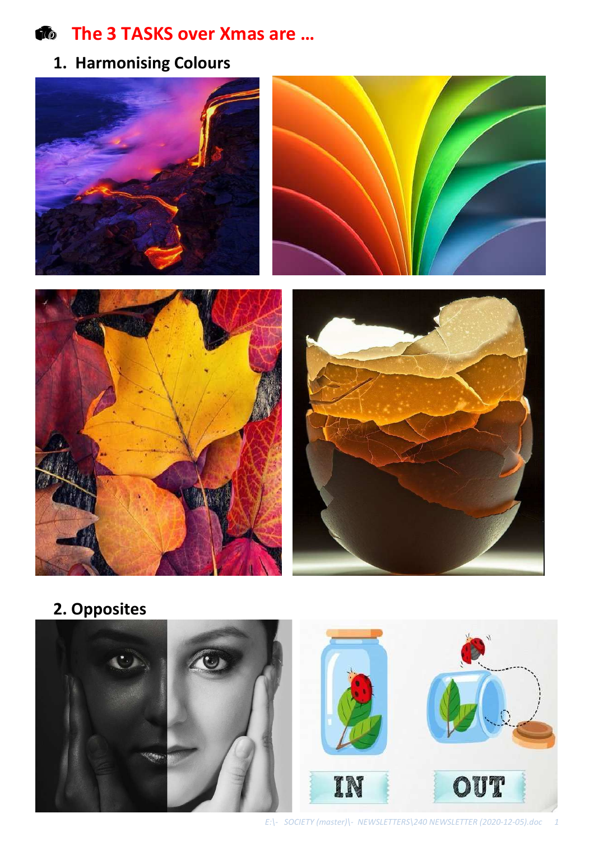$\bullet$  The 3 TASKS over Xmas are ...

**1. Harmonising Colours**









**2. Opposites**

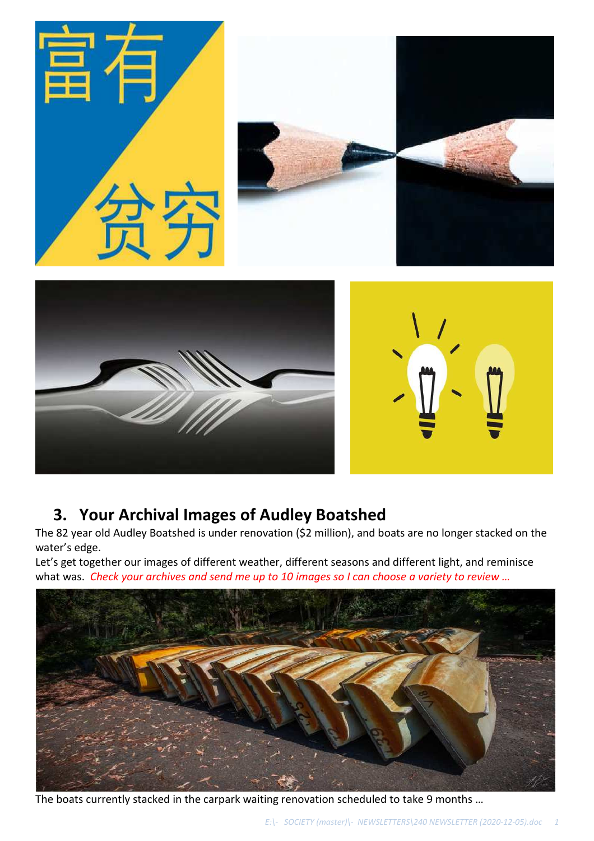

#### **3. Your Archival Images of Audley Boatshed**

The 82 year old Audley Boatshed is under renovation (\$2 million), and boats are no longer stacked on the water's edge.

Let's get together our images of different weather, different seasons and different light, and reminisce what was. *Check your archives and send me up to 10 images so I can choose a variety to review …*



The boats currently stacked in the carpark waiting renovation scheduled to take 9 months …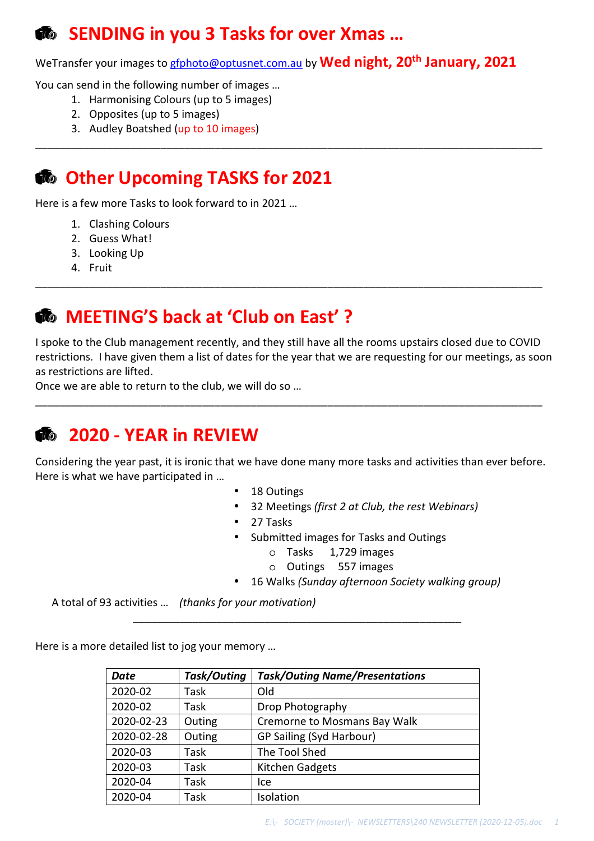#### **<b>**  $\bullet$  SENDING in you 3 Tasks for over Xmas ...

WeTransfer your images to gfphoto@optusnet.com.au by **Wed night, 20th January, 2021** 

\_\_\_\_\_\_\_\_\_\_\_\_\_\_\_\_\_\_\_\_\_\_\_\_\_\_\_\_\_\_\_\_\_\_\_\_\_\_\_\_\_\_\_\_\_\_\_\_\_\_\_\_\_\_\_\_\_\_\_\_\_\_\_\_\_\_\_\_\_\_\_\_\_\_\_\_\_\_\_\_\_\_\_\_\_

You can send in the following number of images …

- 1. Harmonising Colours (up to 5 images)
- 2. Opposites (up to 5 images)
- 3. Audley Boatshed (up to 10 images)

### *<b>C* Other Upcoming TASKS for 2021

Here is a few more Tasks to look forward to in 2021 …

- 1. Clashing Colours
- 2. Guess What!
- 3. Looking Up
- 4. Fruit

#### $\Phi$  MEETING'S back at 'Club on East' ?

I spoke to the Club management recently, and they still have all the rooms upstairs closed due to COVID restrictions. I have given them a list of dates for the year that we are requesting for our meetings, as soon as restrictions are lifted.

\_\_\_\_\_\_\_\_\_\_\_\_\_\_\_\_\_\_\_\_\_\_\_\_\_\_\_\_\_\_\_\_\_\_\_\_\_\_\_\_\_\_\_\_\_\_\_\_\_\_\_\_\_\_\_\_\_\_\_\_\_\_\_\_\_\_\_\_\_\_\_\_\_\_\_\_\_\_\_\_\_\_\_\_\_

\_\_\_\_\_\_\_\_\_\_\_\_\_\_\_\_\_\_\_\_\_\_\_\_\_\_\_\_\_\_\_\_\_\_\_\_\_\_\_\_\_\_\_\_\_\_\_\_\_\_\_\_\_\_\_\_\_\_\_\_\_\_\_\_\_\_\_\_\_\_\_\_\_\_\_\_\_\_\_\_\_\_\_\_\_

Once we are able to return to the club, we will do so …

#### **2020 - YEAR in REVIEW**

Considering the year past, it is ironic that we have done many more tasks and activities than ever before. Here is what we have participated in …

- 18 Outings
- 32 Meetings *(first 2 at Club, the rest Webinars)*
- 27 Tasks
- Submitted images for Tasks and Outings
	- o Tasks 1,729 images
	- o Outings 557 images
- 16 Walks *(Sunday afternoon Society walking group)*

A total of 93 activities … *(thanks for your motivation)*

Here is a more detailed list to jog your memory …

| Date       | Task/Outing | <b>Task/Outing Name/Presentations</b> |  |  |  |
|------------|-------------|---------------------------------------|--|--|--|
| 2020-02    | Task        | Old                                   |  |  |  |
| 2020-02    | Task        | Drop Photography                      |  |  |  |
| 2020-02-23 | Outing      | Cremorne to Mosmans Bay Walk          |  |  |  |
| 2020-02-28 | Outing      | GP Sailing (Syd Harbour)              |  |  |  |
| 2020-03    | Task        | The Tool Shed                         |  |  |  |
| 2020-03    | Task        | Kitchen Gadgets                       |  |  |  |
| 2020-04    | Task        | Ice                                   |  |  |  |
| 2020-04    | Task        | Isolation                             |  |  |  |

\_\_\_\_\_\_\_\_\_\_\_\_\_\_\_\_\_\_\_\_\_\_\_\_\_\_\_\_\_\_\_\_\_\_\_\_\_\_\_\_\_\_\_\_\_\_\_\_\_\_\_\_\_\_\_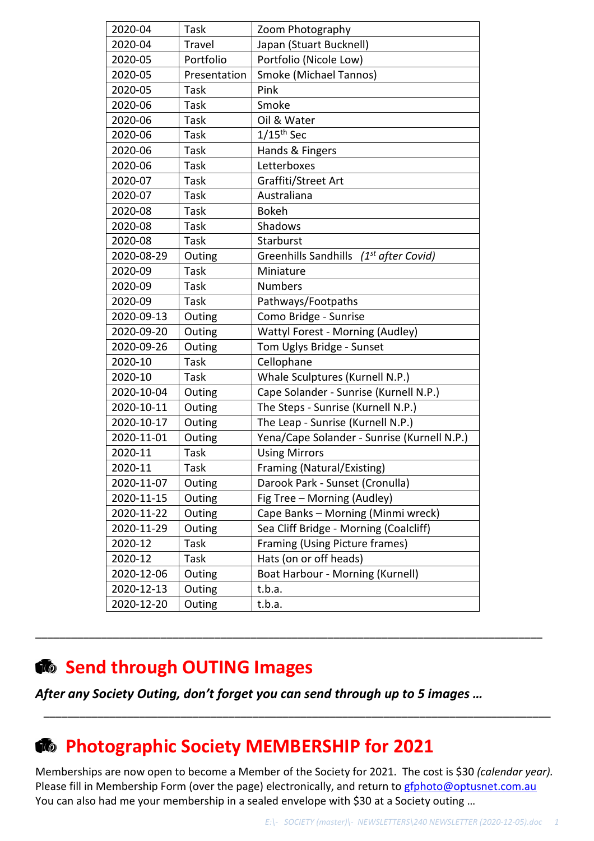| 2020-04    | Task          | Zoom Photography                                   |  |  |  |
|------------|---------------|----------------------------------------------------|--|--|--|
| 2020-04    | <b>Travel</b> | Japan (Stuart Bucknell)                            |  |  |  |
| 2020-05    | Portfolio     | Portfolio (Nicole Low)                             |  |  |  |
| 2020-05    | Presentation  | <b>Smoke (Michael Tannos)</b>                      |  |  |  |
| 2020-05    | Task          | Pink                                               |  |  |  |
| 2020-06    | <b>Task</b>   | Smoke                                              |  |  |  |
| 2020-06    | Task          | Oil & Water                                        |  |  |  |
| 2020-06    | <b>Task</b>   | $1/15$ <sup>th</sup> Sec                           |  |  |  |
| 2020-06    | Task          | Hands & Fingers                                    |  |  |  |
| 2020-06    | Task          | Letterboxes                                        |  |  |  |
| 2020-07    | Task          | Graffiti/Street Art                                |  |  |  |
| 2020-07    | Task          | Australiana                                        |  |  |  |
| 2020-08    | Task          | <b>Bokeh</b>                                       |  |  |  |
| 2020-08    | Task          | Shadows                                            |  |  |  |
| 2020-08    | Task          | Starburst                                          |  |  |  |
| 2020-08-29 | Outing        | Greenhills Sandhills (1 <sup>st</sup> after Covid) |  |  |  |
| 2020-09    | Task          | Miniature                                          |  |  |  |
| 2020-09    | Task          | <b>Numbers</b>                                     |  |  |  |
| 2020-09    | Task          | Pathways/Footpaths                                 |  |  |  |
| 2020-09-13 | Outing        | Como Bridge - Sunrise                              |  |  |  |
| 2020-09-20 | Outing        | <b>Wattyl Forest - Morning (Audley)</b>            |  |  |  |
| 2020-09-26 | Outing        | Tom Uglys Bridge - Sunset                          |  |  |  |
| 2020-10    | Task          | Cellophane                                         |  |  |  |
| 2020-10    | Task          | Whale Sculptures (Kurnell N.P.)                    |  |  |  |
| 2020-10-04 | Outing        | Cape Solander - Sunrise (Kurnell N.P.)             |  |  |  |
| 2020-10-11 | Outing        | The Steps - Sunrise (Kurnell N.P.)                 |  |  |  |
| 2020-10-17 | Outing        | The Leap - Sunrise (Kurnell N.P.)                  |  |  |  |
| 2020-11-01 | Outing        | Yena/Cape Solander - Sunrise (Kurnell N.P.)        |  |  |  |
| 2020-11    | Task          | <b>Using Mirrors</b>                               |  |  |  |
| 2020-11    | Task          | Framing (Natural/Existing)                         |  |  |  |
| 2020-11-07 | Outing        | Darook Park - Sunset (Cronulla)                    |  |  |  |
| 2020-11-15 | Outing        | Fig Tree - Morning (Audley)                        |  |  |  |
| 2020-11-22 | Outing        | Cape Banks - Morning (Minmi wreck)                 |  |  |  |
| 2020-11-29 | Outing        | Sea Cliff Bridge - Morning (Coalcliff)             |  |  |  |
| 2020-12    | Task          | Framing (Using Picture frames)                     |  |  |  |
| 2020-12    | Task          | Hats (on or off heads)                             |  |  |  |
| 2020-12-06 | Outing        | Boat Harbour - Morning (Kurnell)                   |  |  |  |
| 2020-12-13 | Outing        | t.b.a.                                             |  |  |  |
| 2020-12-20 | Outing        | t.b.a.                                             |  |  |  |

#### **<sup><b> Send through OUTING Images**</sup>

*After any Society Outing, don't forget you can send through up to 5 images …* 

#### **<sup><b>&</sup>** Photographic Society MEMBERSHIP for 2021</sup>

Memberships are now open to become a Member of the Society for 2021. The cost is \$30 *(calendar year).* Please fill in Membership Form (over the page) electronically, and return to gfphoto@optusnet.com.au You can also had me your membership in a sealed envelope with \$30 at a Society outing …

\_\_\_\_\_\_\_\_\_\_\_\_\_\_\_\_\_\_\_\_\_\_\_\_\_\_\_\_\_\_\_\_\_\_\_\_\_\_\_\_\_\_\_\_\_\_\_\_\_\_\_\_\_\_\_\_\_\_\_\_\_\_\_\_\_\_\_\_\_\_\_\_\_\_\_\_\_\_\_\_\_\_\_\_\_

\_\_\_\_\_\_\_\_\_\_\_\_\_\_\_\_\_\_\_\_\_\_\_\_\_\_\_\_\_\_\_\_\_\_\_\_\_\_\_\_\_\_\_\_\_\_\_\_\_\_\_\_\_\_\_\_\_\_\_\_\_\_\_\_\_\_\_\_\_\_\_\_\_\_\_\_\_\_\_\_\_\_\_\_\_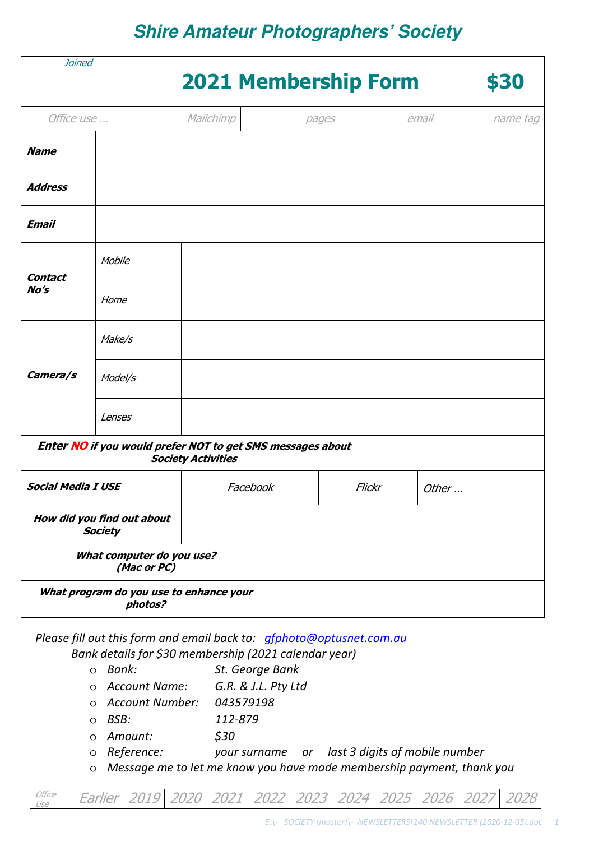### **Shire Amateur Photographers' Society**

| <b>Joined</b>                                                                           |                                              |                                         | <b>2021 Membership Form</b> |        |  |       |          |  |
|-----------------------------------------------------------------------------------------|----------------------------------------------|-----------------------------------------|-----------------------------|--------|--|-------|----------|--|
| Office use                                                                              |                                              | Mailchimp                               |                             | pages  |  | email | name tag |  |
| <b>Name</b>                                                                             |                                              |                                         |                             |        |  |       |          |  |
| <b>Address</b>                                                                          |                                              |                                         |                             |        |  |       |          |  |
| <b>Email</b>                                                                            |                                              |                                         |                             |        |  |       |          |  |
| <b>Contact</b><br>No's                                                                  | Mobile                                       |                                         |                             |        |  |       |          |  |
|                                                                                         | Home                                         |                                         |                             |        |  |       |          |  |
| Camera/s                                                                                | Make/s                                       |                                         |                             |        |  |       |          |  |
|                                                                                         | Model/s                                      |                                         |                             |        |  |       |          |  |
|                                                                                         | Lenses                                       |                                         |                             |        |  |       |          |  |
| Enter NO if you would prefer NOT to get SMS messages about<br><b>Society Activities</b> |                                              |                                         |                             |        |  |       |          |  |
| <b>Social Media I USE</b>                                                               |                                              | Facebook                                |                             | Flickr |  | Other |          |  |
|                                                                                         | How did you find out about<br><b>Society</b> |                                         |                             |        |  |       |          |  |
|                                                                                         | What computer do you use?<br>(Mac or PC)     |                                         |                             |        |  |       |          |  |
|                                                                                         | photos?                                      | What program do you use to enhance your |                             |        |  |       |          |  |

*Please fill out this form and email back to: gfphoto@optusnet.com.au*

*Bank details for \$30 membership (2021 calendar year)* 

- o *Bank: St. George Bank*
- o *Account Name: G.R. & J.L. Pty Ltd*
- o *Account Number: 043579198*
- o *BSB: 112-879*
- o *Amount: \$30*
- o *Reference: your surname or last 3 digits of mobile number*
- o *Message me to let me know you have made membership payment, thank you*